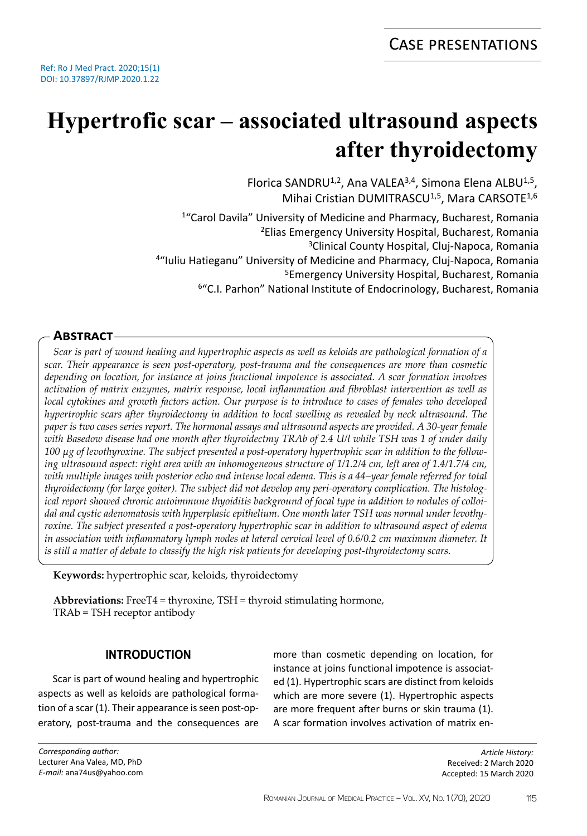# **Hypertrofic scar – associated ultrasound aspects after thyroidectomy**

Florica SANDRU<sup>1,2</sup>, Ana VALEA<sup>3,4</sup>, Simona Elena ALBU<sup>1,5</sup>, Mihai Cristian DUMITRASCU<sup>1,5</sup>, Mara CARSOTE<sup>1,6</sup>

<sup>1</sup>"Carol Davila" University of Medicine and Pharmacy, Bucharest, Romania Elias Emergency University Hospital, Bucharest, Romania <sup>3</sup>Clinical County Hospital, Cluj-Napoca, Romania "Iuliu Hatieganu" University of Medicine and Pharmacy, Cluj-Napoca, Romania Emergency University Hospital, Bucharest, Romania "C.I. Parhon" National Institute of Endocrinology, Bucharest, Romania

## **Abstract**

*Scar is part of wound healing and hypertrophic aspects as well as keloids are pathological formation of a scar. Their appearance is seen post-operatory, post-trauma and the consequences are more than cosmetic depending on location, for instance at joins functional impotence is associated. A scar formation involves activation of matrix enzymes, matrix response, local inflammation and fibroblast intervention as well as local cytokines and growth factors action. Our purpose is to introduce to cases of females who developed hypertrophic scars after thyroidectomy in addition to local swelling as revealed by neck ultrasound. The paper is two cases series report. The hormonal assays and ultrasound aspects are provided. A 30-year female with Basedow disease had one month after thyroidectmy TRAb of 2.4 U/l while TSH was 1 of under daily 100 µg of levothyroxine. The subject presented a post-operatory hypertrophic scar in addition to the following ultrasound aspect: right area with an inhomogeneous structure of 1/1.2/4 cm, left area of 1.4/1.7/4 cm,*  with multiple images with posterior echo and intense local edema. This is a 44–year female referred for total *thyroidectomy (for large goiter). The subject did not develop any peri-operatory complication. The histological report showed chronic autoimmune thyoiditis background of focal type in addition to nodules of colloidal and cystic adenomatosis with hyperplasic epithelium. One month later TSH was normal under levothyroxine. The subject presented a post-operatory hypertrophic scar in addition to ultrasound aspect of edema in association with inflammatory lymph nodes at lateral cervical level of 0.6/0.2 cm maximum diameter. It is still a matter of debate to classify the high risk patients for developing post-thyroidectomy scars.*

**Keywords:** hypertrophic scar, keloids, thyroidectomy

**Abbreviations:** FreeT4 = thyroxine, TSH = thyroid stimulating hormone, TRAb = TSH receptor antibody

# **INTRODUCTION**

Scar is part of wound healing and hypertrophic aspects as well as keloids are pathological formation of a scar (1). Their appearance is seen post-operatory, post-trauma and the consequences are

more than cosmetic depending on location, for instance at joins functional impotence is associated (1). Hypertrophic scars are distinct from keloids which are more severe (1). Hypertrophic aspects are more frequent after burns or skin trauma (1). A scar formation involves activation of matrix en-

*Article History:* Received: 2 March 2020 Accepted: 15 March 2020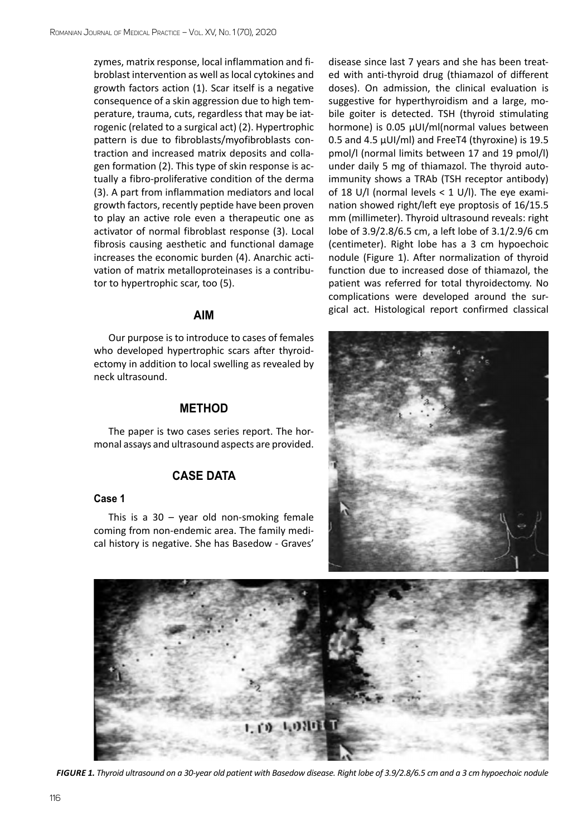zymes, matrix response, local inflammation and fibroblast intervention as well as local cytokines and growth factors action (1). Scar itself is a negative consequence of a skin aggression due to high temperature, trauma, cuts, regardless that may be iatrogenic (related to a surgical act) (2). Hypertrophic pattern is due to fibroblasts/myofibroblasts contraction and increased matrix deposits and collagen formation (2). This type of skin response is actually a fibro-proliferative condition of the derma (3). A part from inflammation mediators and local growth factors, recently peptide have been proven to play an active role even a therapeutic one as activator of normal fibroblast response (3). Local fibrosis causing aesthetic and functional damage increases the economic burden (4). Anarchic activation of matrix metalloproteinases is a contributor to hypertrophic scar, too (5).

#### **AIM**

Our purpose is to introduce to cases of females who developed hypertrophic scars after thyroidectomy in addition to local swelling as revealed by neck ultrasound.

#### **METHOD**

The paper is two cases series report. The hormonal assays and ultrasound aspects are provided.

## **CASE DATA**

#### **Case 1**

This is a  $30 - \gamma$ ear old non-smoking female coming from non-endemic area. The family medical history is negative. She has Basedow - Graves'

disease since last 7 years and she has been treated with anti-thyroid drug (thiamazol of different doses). On admission, the clinical evaluation is suggestive for hyperthyroidism and a large, mobile goiter is detected. TSH (thyroid stimulating hormone) is 0.05 µUI/ml(normal values between 0.5 and 4.5  $\mu$ UI/ml) and FreeT4 (thyroxine) is 19.5 pmol/l (normal limits between 17 and 19 pmol/l) under daily 5 mg of thiamazol. The thyroid autoimmunity shows a TRAb (TSH receptor antibody) of 18 U/l (normal levels  $<$  1 U/l). The eye examination showed right/left eye proptosis of 16/15.5 mm (millimeter). Thyroid ultrasound reveals: right lobe of 3.9/2.8/6.5 cm, a left lobe of 3.1/2.9/6 cm (centimeter). Right lobe has a 3 cm hypoechoic nodule (Figure 1). After normalization of thyroid function due to increased dose of thiamazol, the patient was referred for total thyroidectomy. No complications were developed around the surgical act. Histological report confirmed classical





*Figure 1. Thyroid ultrasound on a 30-year old patient with Basedow disease. Right lobe of 3.9/2.8/6.5 cm and a 3 cm hypoechoic nodule*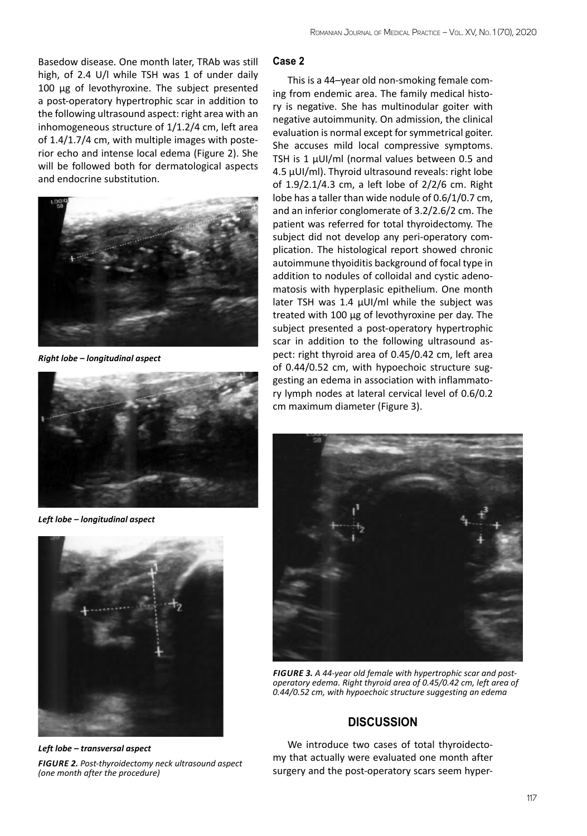Basedow disease. One month later, TRAb was still high, of 2.4 U/l while TSH was 1 of under daily 100 µg of levothyroxine. The subject presented a post-operatory hypertrophic scar in addition to the following ultrasound aspect: right area with an inhomogeneous structure of 1/1.2/4 cm, left area of 1.4/1.7/4 cm, with multiple images with posterior echo and intense local edema (Figure 2). She will be followed both for dermatological aspects and endocrine substitution.



*Right lobe – longitudinal aspect*



*Left lobe – longitudinal aspect*



*Left lobe – transversal aspect Figure 2. Post-thyroidectomy neck ultrasound aspect (one month after the procedure)*

#### **Case 2**

This is a 44–year old non-smoking female coming from endemic area. The family medical history is negative. She has multinodular goiter with negative autoimmunity. On admission, the clinical evaluation is normal except for symmetrical goiter. She accuses mild local compressive symptoms. TSH is 1 µUI/ml (normal values between 0.5 and 4.5 µUI/ml). Thyroid ultrasound reveals: right lobe of 1.9/2.1/4.3 cm, a left lobe of 2/2/6 cm. Right lobe has a taller than wide nodule of 0.6/1/0.7 cm, and an inferior conglomerate of 3.2/2.6/2 cm. The patient was referred for total thyroidectomy. The subject did not develop any peri-operatory complication. The histological report showed chronic autoimmune thyoiditis background of focal type in addition to nodules of colloidal and cystic adenomatosis with hyperplasic epithelium. One month later TSH was 1.4 µUI/ml while the subject was treated with 100 µg of levothyroxine per day. The subject presented a post-operatory hypertrophic scar in addition to the following ultrasound aspect: right thyroid area of 0.45/0.42 cm, left area of 0.44/0.52 cm, with hypoechoic structure suggesting an edema in association with inflammatory lymph nodes at lateral cervical level of 0.6/0.2 cm maximum diameter (Figure 3).



*Figure 3. A 44-year old female with hypertrophic scar and postoperatory edema. Right thyroid area of 0.45/0.42 cm, left area of 0.44/0.52 cm, with hypoechoic structure suggesting an edema* 

# **DISCUSSION**

We introduce two cases of total thyroidectomy that actually were evaluated one month after surgery and the post-operatory scars seem hyper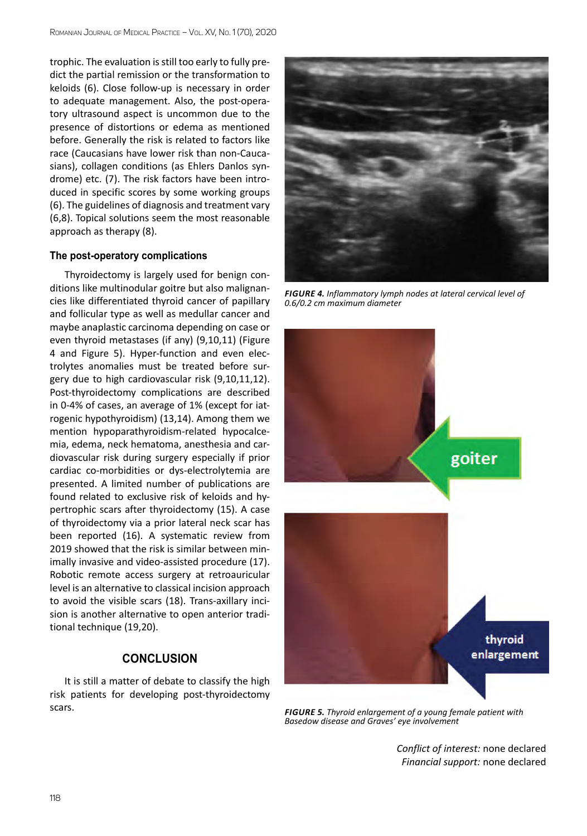trophic. The evaluation is still too early to fully predict the partial remission or the transformation to keloids (6). Close follow-up is necessary in order to adequate management. Also, the post-operatory ultrasound aspect is uncommon due to the presence of distortions or edema as mentioned before. Generally the risk is related to factors like race (Caucasians have lower risk than non-Caucasians), collagen conditions (as Ehlers Danlos syndrome) etc. (7). The risk factors have been introduced in specific scores by some working groups (6). The guidelines of diagnosis and treatment vary (6,8). Topical solutions seem the most reasonable approach as therapy (8).

### **The post-operatory complications**

Thyroidectomy is largely used for benign conditions like multinodular goitre but also malignancies like differentiated thyroid cancer of papillary and follicular type as well as medullar cancer and maybe anaplastic carcinoma depending on case or even thyroid metastases (if any) (9,10,11) (Figure 4 and Figure 5). Hyper-function and even electrolytes anomalies must be treated before surgery due to high cardiovascular risk (9,10,11,12). Post-thyroidectomy complications are described in 0-4% of cases, an average of 1% (except for iatrogenic hypothyroidism) (13,14). Among them we mention hypoparathyroidism-related hypocalcemia, edema, neck hematoma, anesthesia and cardiovascular risk during surgery especially if prior cardiac co-morbidities or dys-electrolytemia are presented. A limited number of publications are found related to exclusive risk of keloids and hypertrophic scars after thyroidectomy (15). A case of thyroidectomy via a prior lateral neck scar has been reported (16). A systematic review from 2019 showed that the risk is similar between minimally invasive and video-assisted procedure (17). Robotic remote access surgery at retroauricular level is an alternative to classical incision approach to avoid the visible scars (18). Trans-axillary incision is another alternative to open anterior traditional technique (19,20).

## **CONCLUSION**

It is still a matter of debate to classify the high risk patients for developing post-thyroidectomy scars.



*Figure 4. Inflammatory lymph nodes at lateral cervical level of 0.6/0.2 cm maximum diameter*



*Figure 5. Thyroid enlargement of a young female patient with Basedow disease and Graves' eye involvement*

*Conflict of interest:* none declared *Financial support:* none declared